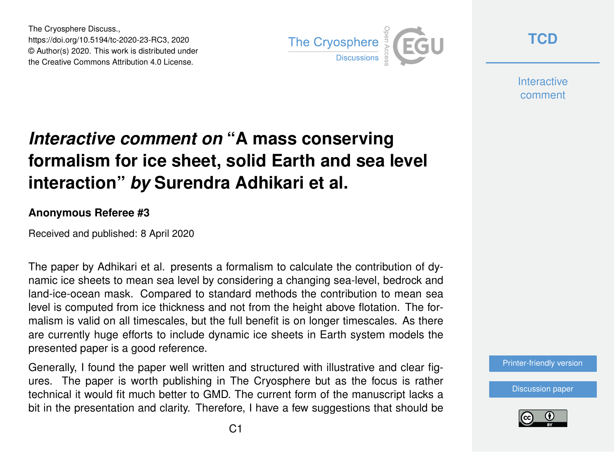The Cryosphere Discuss., https://doi.org/10.5194/tc-2020-23-RC3, 2020 © Author(s) 2020. This work is distributed under the Creative Commons Attribution 4.0 License.



**[TCD](https://www.the-cryosphere-discuss.net/)**

**Interactive** comment

## *Interactive comment on* **"A mass conserving formalism for ice sheet, solid Earth and sea level interaction"** *by* **Surendra Adhikari et al.**

## **Anonymous Referee #3**

Received and published: 8 April 2020

The paper by Adhikari et al. presents a formalism to calculate the contribution of dynamic ice sheets to mean sea level by considering a changing sea-level, bedrock and land-ice-ocean mask. Compared to standard methods the contribution to mean sea level is computed from ice thickness and not from the height above flotation. The formalism is valid on all timescales, but the full benefit is on longer timescales. As there are currently huge efforts to include dynamic ice sheets in Earth system models the presented paper is a good reference.

Generally, I found the paper well written and structured with illustrative and clear figures. The paper is worth publishing in The Cryosphere but as the focus is rather technical it would fit much better to GMD. The current form of the manuscript lacks a bit in the presentation and clarity. Therefore, I have a few suggestions that should be [Printer-friendly version](https://www.the-cryosphere-discuss.net/tc-2020-23/tc-2020-23-RC3-print.pdf)

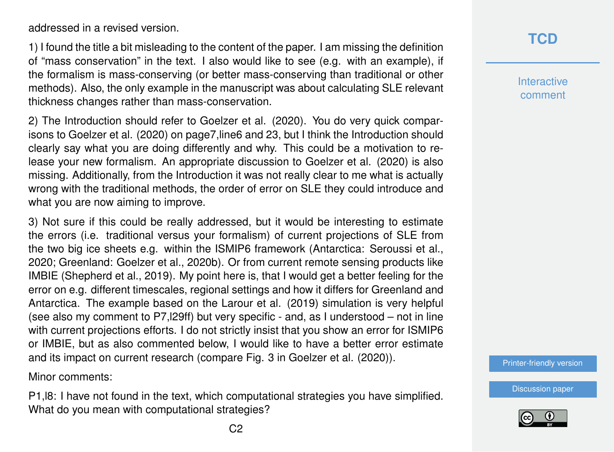addressed in a revised version.

1) I found the title a bit misleading to the content of the paper. I am missing the definition of "mass conservation" in the text. I also would like to see (e.g. with an example), if the formalism is mass-conserving (or better mass-conserving than traditional or other methods). Also, the only example in the manuscript was about calculating SLE relevant thickness changes rather than mass-conservation.

2) The Introduction should refer to Goelzer et al. (2020). You do very quick comparisons to Goelzer et al. (2020) on page7,line6 and 23, but I think the Introduction should clearly say what you are doing differently and why. This could be a motivation to release your new formalism. An appropriate discussion to Goelzer et al. (2020) is also missing. Additionally, from the Introduction it was not really clear to me what is actually wrong with the traditional methods, the order of error on SLE they could introduce and what you are now aiming to improve.

3) Not sure if this could be really addressed, but it would be interesting to estimate the errors (i.e. traditional versus your formalism) of current projections of SLE from the two big ice sheets e.g. within the ISMIP6 framework (Antarctica: Seroussi et al., 2020; Greenland: Goelzer et al., 2020b). Or from current remote sensing products like IMBIE (Shepherd et al., 2019). My point here is, that I would get a better feeling for the error on e.g. different timescales, regional settings and how it differs for Greenland and Antarctica. The example based on the Larour et al. (2019) simulation is very helpful (see also my comment to P7,l29ff) but very specific - and, as I understood – not in line with current projections efforts. I do not strictly insist that you show an error for ISMIP6 or IMBIE, but as also commented below, I would like to have a better error estimate and its impact on current research (compare Fig. 3 in Goelzer et al. (2020)).

Minor comments:

P1,l8: I have not found in the text, which computational strategies you have simplified. What do you mean with computational strategies?

**Interactive** comment

[Printer-friendly version](https://www.the-cryosphere-discuss.net/tc-2020-23/tc-2020-23-RC3-print.pdf)

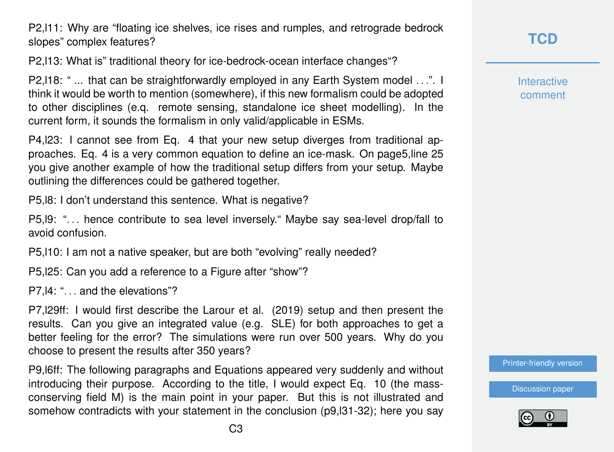P2,l11: Why are "floating ice shelves, ice rises and rumples, and retrograde bedrock slopes" complex features?

P2,l13: What is" traditional theory for ice-bedrock-ocean interface changes"?

P2,l18: " ... that can be straightforwardly employed in any Earth System model . . .". I think it would be worth to mention (somewhere), if this new formalism could be adopted to other disciplines (e.q. remote sensing, standalone ice sheet modelling). In the current form, it sounds the formalism in only valid/applicable in ESMs.

P4,l23: I cannot see from Eq. 4 that your new setup diverges from traditional approaches. Eq. 4 is a very common equation to define an ice-mask. On page5,line 25 you give another example of how the traditional setup differs from your setup. Maybe outlining the differences could be gathered together.

P5,l8: I don't understand this sentence. What is negative?

P5, 19: "... hence contribute to sea level inversely." Maybe sav sea-level drop/fall to avoid confusion.

P5,l10: I am not a native speaker, but are both "evolving" really needed?

P5,l25: Can you add a reference to a Figure after "show"?

P7, 14: "... and the elevations"?

P7,l29ff: I would first describe the Larour et al. (2019) setup and then present the results. Can you give an integrated value (e.g. SLE) for both approaches to get a better feeling for the error? The simulations were run over 500 years. Why do you choose to present the results after 350 years?

P9,l6ff: The following paragraphs and Equations appeared very suddenly and without introducing their purpose. According to the title, I would expect Eq. 10 (the massconserving field M) is the main point in your paper. But this is not illustrated and somehow contradicts with your statement in the conclusion (p9,l31-32); here you say

**[TCD](https://www.the-cryosphere-discuss.net/)**

**Interactive** comment

[Printer-friendly version](https://www.the-cryosphere-discuss.net/tc-2020-23/tc-2020-23-RC3-print.pdf)

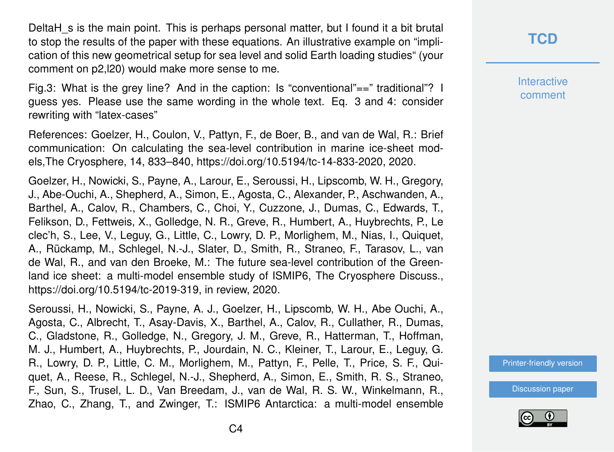DeltaH s is the main point. This is perhaps personal matter, but I found it a bit brutal to stop the results of the paper with these equations. An illustrative example on "implication of this new geometrical setup for sea level and solid Earth loading studies" (your comment on p2,l20) would make more sense to me.

Fig.3: What is the grey line? And in the caption: Is "conventional"==" traditional"? I guess yes. Please use the same wording in the whole text. Eq. 3 and 4: consider rewriting with "latex-cases"

References: Goelzer, H., Coulon, V., Pattyn, F., de Boer, B., and van de Wal, R.: Brief communication: On calculating the sea-level contribution in marine ice-sheet models,The Cryosphere, 14, 833–840, https://doi.org/10.5194/tc-14-833-2020, 2020.

Goelzer, H., Nowicki, S., Payne, A., Larour, E., Seroussi, H., Lipscomb, W. H., Gregory, J., Abe-Ouchi, A., Shepherd, A., Simon, E., Agosta, C., Alexander, P., Aschwanden, A., Barthel, A., Calov, R., Chambers, C., Choi, Y., Cuzzone, J., Dumas, C., Edwards, T., Felikson, D., Fettweis, X., Golledge, N. R., Greve, R., Humbert, A., Huybrechts, P., Le clec'h, S., Lee, V., Leguy, G., Little, C., Lowry, D. P., Morlighem, M., Nias, I., Quiquet, A., Rückamp, M., Schlegel, N.-J., Slater, D., Smith, R., Straneo, F., Tarasov, L., van de Wal, R., and van den Broeke, M.: The future sea-level contribution of the Greenland ice sheet: a multi-model ensemble study of ISMIP6, The Cryosphere Discuss., https://doi.org/10.5194/tc-2019-319, in review, 2020.

Seroussi, H., Nowicki, S., Payne, A. J., Goelzer, H., Lipscomb, W. H., Abe Ouchi, A., Agosta, C., Albrecht, T., Asay-Davis, X., Barthel, A., Calov, R., Cullather, R., Dumas, C., Gladstone, R., Golledge, N., Gregory, J. M., Greve, R., Hatterman, T., Hoffman, M. J., Humbert, A., Huybrechts, P., Jourdain, N. C., Kleiner, T., Larour, E., Leguy, G. R., Lowry, D. P., Little, C. M., Morlighem, M., Pattyn, F., Pelle, T., Price, S. F., Quiquet, A., Reese, R., Schlegel, N.-J., Shepherd, A., Simon, E., Smith, R. S., Straneo, F., Sun, S., Trusel, L. D., Van Breedam, J., van de Wal, R. S. W., Winkelmann, R., Zhao, C., Zhang, T., and Zwinger, T.: ISMIP6 Antarctica: a multi-model ensemble **[TCD](https://www.the-cryosphere-discuss.net/)**

**Interactive** comment

[Printer-friendly version](https://www.the-cryosphere-discuss.net/tc-2020-23/tc-2020-23-RC3-print.pdf)